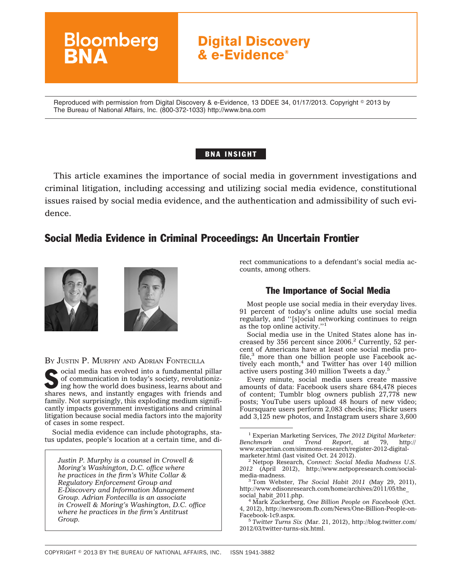

Reproduced with permission from Digital Discovery & e-Evidence, 13 DDEE 34, 01/17/2013. Copyright © 2013 by The Bureau of National Affairs, Inc. (800-372-1033) http://www.bna.com

## BNA INSIGHT

This article examines the importance of social media in government investigations and criminal litigation, including accessing and utilizing social media evidence, constitutional issues raised by social media evidence, and the authentication and admissibility of such evidence.

## Social Media Evidence in Criminal Proceedings: An Uncertain Frontier



BY JUSTIN P. MURPHY AND ADRIAN FONTECILLA

 $\bullet$ ocial media has evolved into a fundamental pillar of communication in today's society, revolutionizing how the world does business, learns about and shares news, and instantly engages with friends and family. Not surprisingly, this exploding medium significantly impacts government investigations and criminal litigation because social media factors into the majority of cases in some respect.

Social media evidence can include photographs, status updates, people's location at a certain time, and di-

*Justin P. Murphy is a counsel in Crowell & Moring's Washington, D.C. office where he practices in the firm's White Collar & Regulatory Enforcement Group and E-Discovery and Information Management Group. Adrian Fontecilla is an associate in Crowell & Moring's Washington, D.C. office where he practices in the firm's Antitrust Group.*

rect communications to a defendant's social media accounts, among others.

## The Importance of Social Media

Most people use social media in their everyday lives. 91 percent of today's online adults use social media regularly, and ''[s]ocial networking continues to reign as the top online activity.''1

Social media use in the United States alone has increased by 356 percent since 2006.<sup>2</sup> Currently, 52 percent of Americans have at least one social media profile, $3$  more than one billion people use Facebook actively each month, $4$  and Twitter has over 140 million active users posting 340 million Tweets a day.5

Every minute, social media users create massive amounts of data: Facebook users share 684,478 pieces of content; Tumblr blog owners publish 27,778 new posts; YouTube users upload 48 hours of new video; Foursquare users perform 2,083 check-ins; Flickr users add 3,125 new photos, and Instagram users share 3,600

<sup>3</sup> Tom Webster, *The Social Habit 2011* (May 29, 2011), [http://www.edisonresearch.com/home/archives/2011/05/the\\_](http://www.edisonresearch.com/home/archives/2011/05/the_social_habit_2011.php)

 $3$ <sup>4</sup> Mark Zuckerberg, One Billion People on Facebook (Oct. 4, 2012), [http://newsroom.fb.com/News/One-Billion-People-on-](http://newsroom.fb.com/News/One-Billion-People-on-Facebook-1c9.aspx)

<sup>5</sup> *Twitter Turns Six* (Mar. 21, 2012), [http://blog.twitter.com/](http://blog.twitter.com/2012/03/twitter-turns-six.html) [2012/03/twitter-turns-six.html.](http://blog.twitter.com/2012/03/twitter-turns-six.html)

<sup>1</sup> Experian Marketing Services, *The 2012 Digital Marketer: Benchmark and Trend Report*, at 79, [http://](http://www.experian.com/simmons-research/register-2012-digital-marketer.html) [www.experian.com/simmons-research/register-2012-digital-](http://www.experian.com/simmons-research/register-2012-digital-marketer.html)

<sup>&</sup>lt;sup>2</sup> Netpop Research, *Connect: Social Media Madness U.S. 2012* (April 2012), [http://www.netpopresearch.com/social-](http://www.netpopresearch.com/social-media-madness)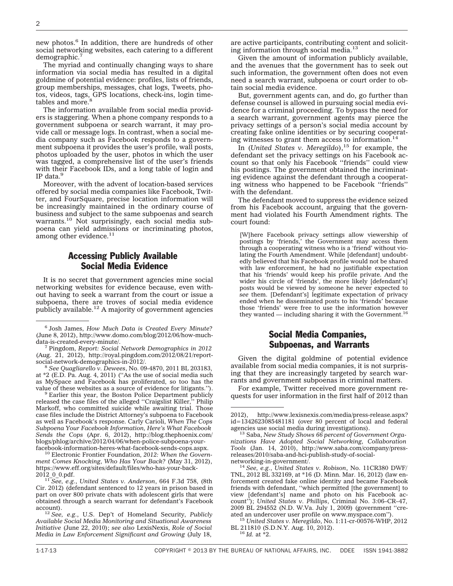new photos.<sup>6</sup> In addition, there are hundreds of other social networking websites, each catering to a different demographic.7

The myriad and continually changing ways to share information via social media has resulted in a digital goldmine of potential evidence: profiles, lists of friends, group memberships, messages, chat logs, Tweets, photos, videos, tags, GPS locations, check-ins, login timetables and more.<sup>8</sup>

The information available from social media providers is staggering. When a phone company responds to a government subpoena or search warrant, it may provide call or message logs. In contrast, when a social media company such as Facebook responds to a government subpoena it provides the user's profile, wall posts, photos uploaded by the user, photos in which the user was tagged, a comprehensive list of the user's friends with their Facebook IDs, and a long table of login and IP data. $<sup>9</sup>$ </sup>

Moreover, with the advent of location-based services offered by social media companies like Facebook, Twitter, and FourSquare, precise location information will be increasingly maintained in the ordinary course of business and subject to the same subpoenas and search warrants.10 Not surprisingly, each social media subpoena can yield admissions or incriminating photos, among other evidence. $11$ 

### Accessing Publicly Available Social Media Evidence

It is no secret that government agencies mine social networking websites for evidence because, even without having to seek a warrant from the court or issue a subpoena, there are troves of social media evidence publicly available.<sup>12</sup> A majority of government agencies

at \*2 (E.D. Pa. Aug. 4, 2011) (''As the use of social media such as MySpace and Facebook has proliferated, so too has the value of these websites as a source of evidence for litigants.'').<br><sup>9</sup> Earlier this year, the Boston Police Department publicly

released the case files of the alleged ''Craigslist Killer,'' Philip Markoff, who committed suicide while awaiting trial. Those case files include the District Attorney's subpoena to Facebook as well as Facebook's response. Carly Carioli, *When The Cops Subpoena Your Facebook Information, Here's What Facebook Sends the Cops* (Apr. 6, 2012), [http://blog.thephoenix.com/](http://blog.thephoenix.com/blogs/phlog/archive/2012/04/06/when-police-subpoena-your-facebook-information-heres-what-facebook-sends-cops.aspx) [blogs/phlog/archive/2012/04/06/when-police-subpoena-your-](http://blog.thephoenix.com/blogs/phlog/archive/2012/04/06/when-police-subpoena-your-facebook-information-heres-what-facebook-sends-cops.aspx)

<sup>10</sup> Electronic Frontier Foundation, 2012: When the Govern*ment Comes Knocking, Who Has Your Back?* (May 31, 2012), [https://www.eff.org/sites/default/files/who-has-your-back-](https://www.eff.org/sites/default/files/who-has-your-back-2012_0_0.pdf)

<sup>11</sup> See, e.g., *United States v. Anderson*, 664 F.3d 758, (8th Cir. 2012) (defendant sentenced to 12 years in prison based in part on over 800 private chats with adolescent girls that were obtained through a search warrant for defendant's Facebook

<sup>12</sup> *See, e.g., U.S. Dep't of Homeland Security, Publicly Available Social Media Monitoring and Situational Awareness Initiative* (June 22, 2010); *see also* LexisNexis, *Role of Social Media in Law Enforcement Significant and Growing* (July 18,

are active participants, contributing content and soliciting information through social media.13

Given the amount of information publicly available, and the avenues that the government has to seek out such information, the government often does not even need a search warrant, subpoena or court order to obtain social media evidence.

But, government agents can, and do, go further than defense counsel is allowed in pursuing social media evidence for a criminal proceeding. To bypass the need for a search warrant, government agents may pierce the privacy settings of a person's social media account by creating fake online identities or by securing cooperating witnesses to grant them access to information.<sup>14</sup>

In (*United States v. Meregildo*),<sup>15</sup> for example, the defendant set the privacy settings on his Facebook account so that only his Facebook ''friends'' could view his postings. The government obtained the incriminating evidence against the defendant through a cooperating witness who happened to be Facebook ''friends'' with the defendant.

The defendant moved to suppress the evidence seized from his Facebook account, arguing that the government had violated his Fourth Amendment rights. The court found:

[W]here Facebook privacy settings allow viewership of postings by 'friends,' the Government may access them through a cooperating witness who is a 'friend' without violating the Fourth Amendment. While [defendant] undoubtedly believed that his Facebook profile would not be shared with law enforcement, he had no justifiable expectation that his 'friends' would keep his profile private. And the wider his circle of 'friends', the more likely [defendant's] posts would be viewed by someone he never expected to *see* them. [Defendant's] legitimate expectation of privacy ended when he disseminated posts to his 'friends' because those 'friends' were free to use the information however they wanted — including sharing it with the Government.<sup>16</sup>

### Social Media Companies, Subpoenas, and Warrants

Given the digital goldmine of potential evidence available from social media companies, it is not surprising that they are increasingly targeted by search warrants and government subpoenas in criminal matters.

For example, Twitter received more government requests for user information in the first half of 2012 than

ated an undercover user profile on www.myspace.com''). <sup>15</sup> *United States v. Meregildo*, No. 1:11-cr-00576-WHP, 2012 BL 211810 (S.D.N.Y. Aug. 10, 2012). <sup>16</sup> *Id.* at \*2.

<sup>6</sup> Josh James, *How Much Data is Created Every Minute?* (June 8, 2012), [http://www.domo.com/blog/2012/06/how-much-](http://www.domo.com/blog/2012/06/how-much-data-is-created-every-minute/)

<sup>&</sup>lt;sup>7</sup> Pingdom, Report: Social Network Demographics in 2012 (Aug. 21, 2012), [http://royal.pingdom.com/2012/08/21/report](http://royal.pingdom.com/2012/08/21/report-social-network-demographics-in-2012/)[social-network-demographics-in-2012/.](http://royal.pingdom.com/2012/08/21/report-social-network-demographics-in-2012/) <sup>8</sup> *See Quagliarello v. Dewees*, No. 09-4870, 2011 BL 203183,

<sup>2012),</sup> [http://www.lexisnexis.com/media/press-release.aspx?](http://www.lexisnexis.com/media/press-release.aspx?id=1342623085481181) [id=1342623085481181](http://www.lexisnexis.com/media/press-release.aspx?id=1342623085481181) (over 80 percent of local and federal

<sup>&</sup>lt;sup>13</sup> Saba, *New Study Shows 66 percent of Government Organizations Have Adopted Social Networking, Collaboration Tools* (Jan. 14, 2010), [http://www.saba.com/company/press](http://www.saba.com/company/press-releases/2010/saba-and-hci-publish-study-of-social-networking-in-government/)[releases/2010/saba-and-hci-publish-study-of-social-](http://www.saba.com/company/press-releases/2010/saba-and-hci-publish-study-of-social-networking-in-government/)

[networking-in-government/.](http://www.saba.com/company/press-releases/2010/saba-and-hci-publish-study-of-social-networking-in-government/) <sup>14</sup> *See, e.g.*, *United States v. Robison*, No. 11CR380 DWF/ TNL, 2012 BL 332169, at \*16 (D. Minn. Mar. 16, 2012) (law enforcement created fake online identity and became Facebook friends with defendant, ''which permitted [the government] to view [defendant's] name and photo on his Facebook account''); *United States v. Phillips*, Criminal No. 3:06–CR–47, 2009 BL 294552 (N.D. W.Va. July 1, 2009) (government ''cre-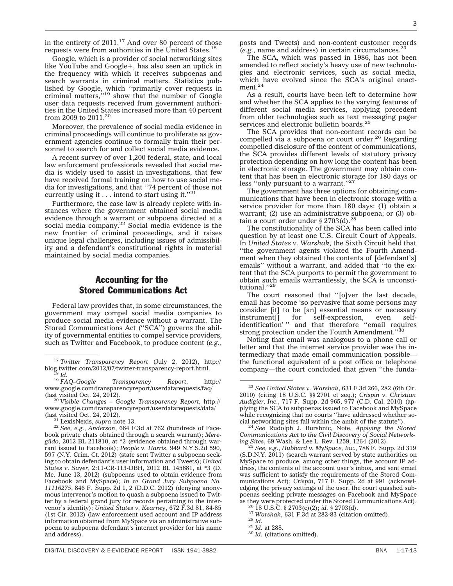in the entirety of 2011.<sup>17</sup> And over 80 percent of those requests were from authorities in the United States.18

Google, which is a provider of social networking sites like YouTube and Google+, has also seen an uptick in the frequency with which it receives subpoenas and search warrants in criminal matters. Statistics published by Google, which ''primarily cover requests in criminal matters,  $^{19}$  show that the number of Google user data requests received from government authorities in the United States increased more than 40 percent from 2009 to 2011.20

Moreover, the prevalence of social media evidence in criminal proceedings will continue to proliferate as government agencies continue to formally train their personnel to search for and collect social media evidence.

A recent survey of over 1,200 federal, state, and local law enforcement professionals revealed that social media is widely used to assist in investigations, that few have received formal training on how to use social media for investigations, and that ''74 percent of those not currently using it . . . intend to start using it.''21

Furthermore, the case law is already replete with instances where the government obtained social media evidence through a warrant or subpoena directed at a social media company.<sup>22</sup> Social media evidence is the new frontier of criminal proceedings, and it raises unique legal challenges, including issues of admissibility and a defendant's constitutional rights in material maintained by social media companies.

### Accounting for the Stored Communications Act

Federal law provides that, in some circumstances, the government may compel social media companies to produce social media evidence without a warrant. The Stored Communications Act ("SCA") governs the ability of governmental entities to compel service providers, such as Twitter and Facebook, to produce content (*e.g.*,

posts and Tweets) and non-content customer records (*e.g.*, name and address) in certain circumstances.23

The SCA, which was passed in 1986, has not been amended to reflect society's heavy use of new technologies and electronic services, such as social media, which have evolved since the SCA's original enactment.24

As a result, courts have been left to determine how and whether the SCA applies to the varying features of different social media services, applying precedent from older technologies such as text messaging pager services and electronic bulletin boards.<sup>25</sup>

The SCA provides that non-content records can be compelled via a subpoena or court order.<sup>26</sup> Regarding compelled disclosure of the content of communications, the SCA provides different levels of statutory privacy protection depending on how long the content has been in electronic storage. The government may obtain content that has been in electronic storage for 180 days or less "only pursuant to a warrant."<sup>27</sup>

The government has three options for obtaining communications that have been in electronic storage with a service provider for more than 180 days: (1) obtain a warrant; (2) use an administrative subpoena; or (3) obtain a court order under  $\S 2703(d).^{28}$ 

The constitutionality of the SCA has been called into question by at least one U.S. Circuit Court of Appeals. In *United States v. Warshak*, the Sixth Circuit held that ''the government agents violated the Fourth Amendment when they obtained the contents of [defendant's] emails'' without a warrant, and added that ''to the extent that the SCA purports to permit the government to obtain such emails warrantlessly, the SCA is unconstitutional.''29

The court reasoned that ''[o]ver the last decade, email has become 'so pervasive that some persons may consider [it] to be [an] essential means or necessary instrument[] for self-expression, even selfinstrument[] for self-expression, even selfidentification' '' and that therefore ''email requires strong protection under the Fourth Amendment."30

Noting that email was analogous to a phone call or letter and that the internet service provider was the intermediary that made email communication possible the functional equivalent of a post office or telephone company—the court concluded that given ''the funda-

<sup>17</sup> *Twitter Transparency Report* (July 2, 2012), [http://](http://blog.twitter.com/2012/07/twitter-transparency-report.html) [blog.twitter.com/2012/07/twitter-transparency-report.html.](http://blog.twitter.com/2012/07/twitter-transparency-report.html) <sup>18</sup> *Id.* <sup>19</sup> *FAQ–Google Transparency Report*, [http://](http://www.google.com/transparencyreport/userdatarequests/faq/)

[www.google.com/transparencyreport/userdatarequests/faq/](http://www.google.com/transparencyreport/userdatarequests/faq/)

<sup>(</sup>last visited Oct. 24, 2012)*.* <sup>20</sup> *Visible Changes – Google Transparency Report,* [http://](http://www.google.com/transparencyreport/userdatarequests/data/) [www.google.com/transparencyreport/userdatarequests/data/](http://www.google.com/transparencyreport/userdatarequests/data/) (last visited Oct. 24, 2012). <sup>21</sup> LexisNexis, *supra* note 13. <sup>22</sup> *See, e.g.*, *Anderson*, 664 F.3d at 762 (hundreds of Face-

book private chats obtained through a search warrant); *Meregildo*, 2012 BL 211810, at \*2 (evidence obtained through warrant issued to Facebook); *People v. Harris*, 949 N.Y.S.2d 590, 597 (N.Y. Crim. Ct. 2012) (state sent Twitter a subpoena seeking to obtain defendant's user information and Tweets); *United States v. Sayer*, 2:11-CR-113-DBH, 2012 BL 145681, at \*3 (D. Me. June 13, 2012) (subpoenas used to obtain evidence from Facebook and MySpace); *In re Grand Jury Subpoena No. 11116275*, 846 F. Supp. 2d 1, 2 (D.D.C. 2012) (denying anonymous intervenor's motion to quash a subpoena issued to Twitter by a federal grand jury for records pertaining to the intervenor's identity); *United States v. Kearney*, 672 F.3d 81, 84-85 (1st Cir. 2012) (law enforcement used account and IP address information obtained from MySpace via an administrative subpoena to subpoena defendant's internet provider for his name and address).

<sup>23</sup> *See United States v. Warshak*, 631 F.3d 266, 282 (6th Cir. 2010) (citing 18 U.S.C. §§ 2701 et seq.); *Crispin v. Christian Audigier, Inc.*, 717 F. Supp. 2d 965, 977 (C.D. Cal. 2010) (applying the SCA to subpoenas issued to Facebook and MySpace while recognizing that no courts "have addressed whether so-<br>cial networking sites fall within the ambit of the statute").

<sup>&</sup>lt;sup>24</sup> See Rudolph J. Burshnic, Note, *Applying the Stored Communications Act to the Civil Discovery of Social Networking Sites*, 69 Wash. & Lee L. Rev. 1259, 1264 (2012). <sup>25</sup> *See, e.g.*, *Hubbard v. MySpace, Inc.*, 788 F. Supp. 2d 319

<sup>(</sup>S.D.N.Y. 2011) (search warrant served by state authorities on MySpace to produce, among other things, the account IP address, the contents of the account user's inbox, and sent email was sufficient to satisfy the requirements of the Stored Communications Act); *Crispin*, 717 F. Supp. 2d at 991 (acknowledging the privacy settings of the user, the court quashed subpoenas seeking private messages on Facebook and MySpace

<sup>&</sup>lt;sup>26</sup> 18 U.S.C. § 2703(c)(2); id. § 2703(d).<br><sup>27</sup> Warshak, 631 F.3d at 282-83 (citation omitted).<br><sup>28</sup> Id. at 288.<br><sup>30</sup> Id. (citations omitted).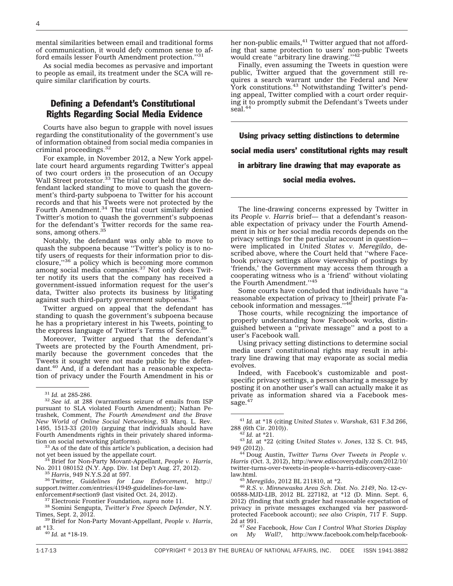mental similarities between email and traditional forms of communication, it would defy common sense to afford emails lesser Fourth Amendment protection.''31

As social media becomes as pervasive and important to people as email, its treatment under the SCA will require similar clarification by courts.

### Defining a Defendant's Constitutional Rights Regarding Social Media Evidence

Courts have also begun to grapple with novel issues regarding the constitutionality of the government's use of information obtained from social media companies in criminal proceedings.32

For example, in November 2012, a New York appellate court heard arguments regarding Twitter's appeal of two court orders in the prosecution of an Occupy Wall Street protestor.<sup>33</sup> The trial court held that the defendant lacked standing to move to quash the government's third-party subpoena to Twitter for his account records and that his Tweets were not protected by the Fourth Amendment.<sup>34</sup> The trial court similarly denied Twitter's motion to quash the government's subpoenas for the defendant's Twitter records for the same reasons, among others.<sup>35</sup>

Notably, the defendant was only able to move to quash the subpoena because ''Twitter's policy is to notify users of requests for their information prior to disclosure,''36 a policy which is becoming more common among social media companies.37 Not only does Twitter notify its users that the company has received a government-issued information request for the user's data, Twitter also protects its business by litigating against such third-party government subpoenas.<sup>38</sup>

Twitter argued on appeal that the defendant has standing to quash the government's subpoena because he has a proprietary interest in his Tweets, pointing to the express language of Twitter's Terms of Service.<sup>3</sup>

Moreover, Twitter argued that the defendant's Tweets are protected by the Fourth Amendment, primarily because the government concedes that the Tweets it sought were not made public by the defendant.40 And, if a defendant has a reasonable expectation of privacy under the Fourth Amendment in his or

 $33$  As of the date of this article's publication, a decision had not yet been issued by the appellate court.

<sup>34</sup> Brief for Non-Party Movant-Appellant, *People v. Harris*, No. 2011 080152 (N.Y. App. Div. 1st Dep't Aug. 27, 2012).

No. 2011 080152 (N.Y. App. Div. 1st Dep't Aug. 27, 2012). <sup>35</sup> *Harris*, 949 N.Y.S.2d at 597. <sup>36</sup> Twitter, *Guidelines for Law Enforcement*, [http://](http://support.twitter.com/entries/41949-guidelines-for-law-enforcement#section9) [support.twitter.com/entries/41949-guidelines-for-law-](http://support.twitter.com/entries/41949-guidelines-for-law-enforcement#section9)

[enforcement#section9](http://support.twitter.com/entries/41949-guidelines-for-law-enforcement#section9) (last visited Oct. 24, 2012). <sup>37</sup> Electronic Frontier Foundation, *supra* note 11. <sup>38</sup> Somini Sengupta, *Twitter's Free Speech Defender*, N.Y.

Times, Sept. 2, 2012. <sup>39</sup> Brief for Non-Party Movant-Appellant, *People v. Harris*,

at \*13. <sup>40</sup> *Id.* at \*18-19.

her non-public emails,<sup>41</sup> Twitter argued that not affording that same protection to users' non-public Tweets would create "arbitrary line drawing."<sup>42</sup>

Finally, even assuming the Tweets in question were public, Twitter argued that the government still requires a search warrant under the Federal and New York constitutions. $43$  Notwithstanding Twitter's pending appeal, Twitter complied with a court order requiring it to promptly submit the Defendant's Tweets under seal.<sup>44</sup>

Using privacy setting distinctions to determine social media users' constitutional rights may result in arbitrary line drawing that may evaporate as social media evolves.

The line-drawing concerns expressed by Twitter in its *People v. Harris* brief— that a defendant's reasonable expectation of privacy under the Fourth Amendment in his or her social media records depends on the privacy settings for the particular account in question were implicated in *United States v. Meregildo*, described above, where the Court held that ''where Facebook privacy settings allow viewership of postings by 'friends,' the Government may access them through a cooperating witness who is a 'friend' without violating the Fourth Amendment.''45

Some courts have concluded that individuals have ''a reasonable expectation of privacy to [their] private Facebook information and messages.''46

Those courts, while recognizing the importance of properly understanding how Facebook works, distinguished between a ''private message'' and a post to a user's Facebook wall.

Using privacy setting distinctions to determine social media users' constitutional rights may result in arbitrary line drawing that may evaporate as social media evolves.

Indeed, with Facebook's customizable and postspecific privacy settings, a person sharing a message by posting it on another user's wall can actually make it as private as information shared via a Facebook message.<sup>47</sup>

<sup>43</sup> Id. at \*22 (citing *United States v. Jones*, 132 S. Ct. 945, 949 (2012)).

949 (2012)). <sup>44</sup> Doug Austin, *Twitter Turns Over Tweets in People v. Harris* (Oct. 3, 2012), [http://www.ediscoverydaily.com/2012/10/](http://www.ediscoverydaily.com/2012/10/twitter-turns-over-tweets-in-people-v-harris-ediscovery-case-law.html) [twitter-turns-over-tweets-in-people-v-harris-ediscovery-case-](http://www.ediscoverydaily.com/2012/10/twitter-turns-over-tweets-in-people-v-harris-ediscovery-case-law.html)

<sup>45</sup> Meregildo, 2012 BL 211810, at \*2.<br><sup>46</sup> R.S. v. Minnewaska Area Sch. Dist. No. 2149, No. 12-cv-00588-MJD-LIB, 2012 BL 227182, at \*12 (D. Minn. Sept. 6, 2012) (finding that sixth grader had reasonable expectation of privacy in private messages exchanged via her passwordprotected Facebook account); *see also Crispin*, 717 F. Supp.

<sup>47</sup> See Facebook, How Can I Control What Stories Display *on My Wall?*, [http://www.facebook.com/help/facebook-](http://www.facebook.com/help/facebook-questions#!/help/218066191556033/)

<sup>31</sup> *Id.* at 285-286. <sup>32</sup> *See id.* at 288 (warrantless seizure of emails from ISP pursuant to SLA violated Fourth Amendment); Nathan Petrashek, Comment, *The Fourth Amendment and the Brave New World of Online Social Networking*, 93 Marq. L. Rev. 1495, 1513-33 (2010) (arguing that individuals should have Fourth Amendments rights in their privately shared informa-<br>tion on social networking platforms).

<sup>&</sup>lt;sup>41</sup> Id. at \*18 (citing *United States v. Warshak*, 631 F.3d 266, 288 (6th Cir. 2010)).<br><sup>42</sup> Id. at \*21.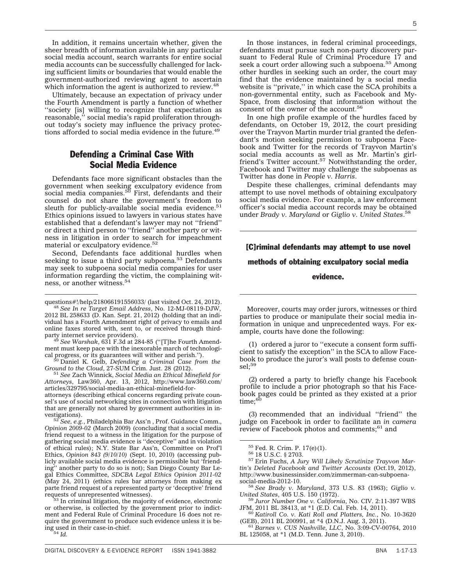In addition, it remains uncertain whether, given the sheer breadth of information available in any particular social media account, search warrants for entire social media accounts can be successfully challenged for lacking sufficient limits or boundaries that would enable the government-authorized reviewing agent to ascertain which information the agent is authorized to review.<sup>48</sup>

Ultimately, because an expectation of privacy under the Fourth Amendment is partly a function of whether ''society [is] willing to recognize that expectation as reasonable,'' social media's rapid proliferation throughout today's society may influence the privacy protections afforded to social media evidence in the future.<sup>49</sup>

#### Defending a Criminal Case With Social Media Evidence

Defendants face more significant obstacles than the government when seeking exculpatory evidence from<br>social media companies.<sup>50</sup> First, defendants and their counsel do not share the government's freedom to sleuth for publicly-available social media evidence.<sup>51</sup> Ethics opinions issued to lawyers in various states have established that a defendant's lawyer may not ''friend'' or direct a third person to ''friend'' another party or witness in litigation in order to search for impeachment material or exculpatory evidence.  $\rm ^{52}$ 

Second, Defendants face additional hurdles when seeking to issue a third party subpoena.<sup>53</sup> Defendants may seek to subpoena social media companies for user information regarding the victim, the complaining witness, or another witness.<sup>54</sup>

ment must keep pace with the inexorable march of technological progress, or its guarantees will wither and perish.''). <sup>50</sup> Daniel K. Gelb, *Defending a Criminal Case from the*

*Ground to the Cloud*, 27-SUM Crim. Just. 28 (2012). <sup>51</sup> *See* Zach Winnick, *Social Media an Ethical Minefield for*

*Attorneys*, Law360, Apr. 13, 2012, [http://www.law360.com/](http://www.law360.com/articles/329795/social-media-an-ethical-minefield-for-attorneys) [articles/329795/social-media-an-ethical-minefield-for-](http://www.law360.com/articles/329795/social-media-an-ethical-minefield-for-attorneys)

[attorneys](http://www.law360.com/articles/329795/social-media-an-ethical-minefield-for-attorneys) (describing ethical concerns regarding private counsel's use of social networking sites in connection with litigation that are generally not shared by government authorities in investigations).<br> $\frac{52 \text{ C}}{2}$ 

See, e.g., Philadelphia Bar Ass'n, Prof. Guidance Comm., *Opinion 2009-02* (March 2009) (concluding that a social media friend request to a witness in the litigation for the purpose of gathering social media evidence is ''deceptive'' and in violation of ethical rules); N.Y. State Bar Ass'n, Committee on Prof'l Ethics, *Opinion 843 (9/10/10)* (Sept. 10, 2010) (accessing publicly available social media evidence is permissible but 'friend-<br>ing'' another party to do so is not): San Diego County Bar Le-' another party to do so is not); San Diego County Bar Legal Ethics Committee, *SDCBA Legal Ethics Opinion 2011-02* (May 24, 2011) (ethics rules bar attorneys from making ex parte friend request of a represented party or 'deceptive' friend

53 In criminal litigation, the majority of evidence, electronic or otherwise, is collected by the government prior to indictment and Federal Rule of Criminal Procedure 16 does not require the government to produce such evidence unless it is being used in their case-in-chief. <sup>54</sup> *Id.*

In those instances, in federal criminal proceedings, defendants must pursue such non-party discovery pursuant to Federal Rule of Criminal Procedure 17 and seek a court order allowing such a subpoena.<sup>55</sup> Among other hurdles in seeking such an order, the court may find that the evidence maintained by a social media website is ''private,'' in which case the SCA prohibits a non-governmental entity, such as Facebook and My-Space, from disclosing that information without the consent of the owner of the account.<sup>56</sup>

In one high profile example of the hurdles faced by defendants, on October 19, 2012, the court presiding over the Trayvon Martin murder trial granted the defendant's motion seeking permission to subpoena Facebook and Twitter for the records of Trayvon Martin's social media accounts as well as Mr. Martin's girlfriend's Twitter account.<sup>57</sup> Notwithstanding the order, Facebook and Twitter may challenge the subpoenas as Twitter has done in *People v. Harris*.

Despite these challenges, criminal defendants may attempt to use novel methods of obtaining exculpatory social media evidence. For example, a law enforcement officer's social media account records may be obtained under *Brady v. Maryland* or *Giglio v. United States*. 58

# [C]riminal defendants may attempt to use novel methods of obtaining exculpatory social media evidence.

#### Moreover, courts may order jurors, witnesses or third parties to produce or manipulate their social media information in unique and unprecedented ways. For example, courts have done the following:

(1) ordered a juror to ''execute a consent form sufficient to satisfy the exception'' in the SCA to allow Facebook to produce the juror's wall posts to defense coun $sel; 59$ 

(2) ordered a party to briefly change his Facebook profile to include a prior photograph so that his Facebook pages could be printed as they existed at a prior time:<sup>60</sup>

(3) recommended that an individual ''friend'' the judge on Facebook in order to facilitate an *in camera* review of Facebook photos and comments; $61$  and

<sup>55</sup> Fed. R. Crim. P. 17(e)(1). <sup>56</sup> 18 U.S.C. § 2703. <sup>57</sup> Erin Fuchs, *A Jury Will Likely Scrutinize Trayvon Martin's Deleted Facebook and Twitter Accounts* (Oct.19, 2012), [http://www.businessinsider.com/zimmerman-can-subpoena-](http://www.businessinsider.com/zimmerman-can-subpoena-social-media-2012-10)

<sup>58</sup> See Brady v. Maryland, 373 U.S. 83 (1963); Giglio v. United States, 405 U.S. 150 (1972).

<sup>59</sup> Juror Number One v. California, No. CIV. 2:11-397 WBS JFM, 2011 BL 38413, at \*1 (E.D. Cal. Feb. 14, 2011).

<sup>60</sup> Katiroll Co. v. Kati Roll and Platters, Inc., No. 10-3620 (GEB), 2011 BL 200991, at \*4 (D.N.J. Aug. 3, 2011).

<sup>61</sup> Barnes v. CUS Nashville, LLC, No. 3:09-CV-00764, 2010 BL 125058, at \*1 (M.D. Tenn. June 3, 2010).

[questions#!/help/218066191556033/](http://www.facebook.com/help/facebook-questions#!/help/218066191556033/) (last visited Oct. 24, 2012). <sup>48</sup> *See In re Target Email Address*, No. 12-MJ-08119-DJW,

<sup>2012</sup> BL 258633 (D. Kan. Sept. 21, 2012) (holding that an individual has a Fourth Amendment right of privacy to emails and online faxes stored with, sent to, or received through thirdparty internet service providers). <sup>49</sup> *See Warshak*, 631 F.3d at 284-85 (''[T]he Fourth Amend-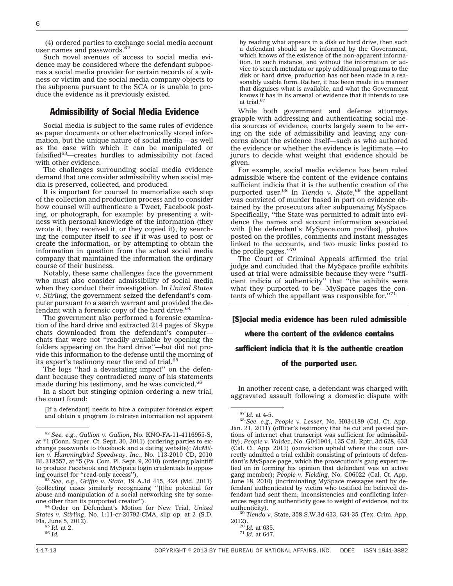(4) ordered parties to exchange social media account user names and passwords.<sup>62</sup>

Such novel avenues of access to social media evidence may be considered where the defendant subpoenas a social media provider for certain records of a witness or victim and the social media company objects to the subpoena pursuant to the SCA or is unable to produce the evidence as it previously existed.

#### Admissibility of Social Media Evidence

Social media is subject to the same rules of evidence as paper documents or other electronically stored information, but the unique nature of social media —as well as the ease with which it can be manipulated or falsified63—creates hurdles to admissibility not faced with other evidence.

The challenges surrounding social media evidence demand that one consider admissibility when social media is preserved, collected, and produced.

It is important for counsel to memorialize each step of the collection and production process and to consider how counsel will authenticate a Tweet, Facebook posting, or photograph, for example: by presenting a witness with personal knowledge of the information (they wrote it, they received it, or they copied it), by searching the computer itself to *see* if it was used to post or create the information, or by attempting to obtain the information in question from the actual social media company that maintained the information the ordinary course of their business.

Notably, these same challenges face the government who must also consider admissibility of social media when they conduct their investigation. In *United States v. Stirling*, the government seized the defendant's computer pursuant to a search warrant and provided the defendant with a forensic copy of the hard drive.  $64$ 

The government also performed a forensic examination of the hard drive and extracted 214 pages of Skype chats downloaded from the defendant's computerchats that were not ''readily available by opening the folders appearing on the hard drive''—but did not provide this information to the defense until the morning of its expert's testimony near the end of trial.<sup>65</sup>

The logs ''had a devastating impact'' on the defendant because they contradicted many of his statements made during his testimony, and he was convicted.<sup>66</sup>

In a short but stinging opinion ordering a new trial, the court found:

[If a defendant] needs to hire a computer forensics expert and obtain a program to retrieve information not apparent by reading what appears in a disk or hard drive, then such a defendant should so be informed by the Government, which knows of the existence of the non-apparent information. In such instance, and without the information or advice to search metadata or apply additional programs to the disk or hard drive, production has not been made in a reasonably usable form. Rather, it has been made in a manner that disguises what is available, and what the Government knows it has in its arsenal of evidence that it intends to use at trial.

While both government and defense attorneys grapple with addressing and authenticating social media sources of evidence, courts largely seem to be erring on the side of admissibility and leaving any concerns about the evidence itself—such as who authored the evidence or whether the evidence is legitimate —to jurors to decide what weight that evidence should be given.

For example, social media evidence has been ruled admissible where the content of the evidence contains sufficient indicia that it is the authentic creation of the purported user.68 In *Tienda v. State*, <sup>69</sup> the appellant was convicted of murder based in part on evidence obtained by the prosecutors after subpoenaing MySpace. Specifically, "the State was permitted to admit into evidence the names and account information associated with [the defendant's MySpace.com profiles], photos posted on the profiles, comments and instant messages linked to the accounts, and two music links posted to the profile pages.''70

The Court of Criminal Appeals affirmed the trial judge and concluded that the MySpace profile exhibits used at trial were admissible because they were ''sufficient indicia of authenticity'' that ''the exhibits were what they purported to be—MySpace pages the contents of which the appellant was responsible for.''71

[S]ocial media evidence has been ruled admissible where the content of the evidence contains sufficient indicia that it is the authentic creation of the purported user.

In another recent case, a defendant was charged with aggravated assault following a domestic dispute with

<sup>62</sup> *See, e.g.*, *Gallion v. Gallion*, No. KNO-FA-11-4116955-S, at \*1 (Conn. Super. Ct. Sept. 30, 2011) (ordering parties to exchange passwords to Facebook and a dating website); *McMillen v. Hummingbird Speedway, Inc.*, No. 113-2010 CD, 2010 BL 318557, at \*5 (Pa. Com. Pl. Sept. 9, 2010) (ordering plaintiff to produce Facebook and MySpace login credentials to opposing counsel for "read-only access").

<sup>&</sup>lt;sup>'63</sup> See, e.g., *Griffin v. State*, 19 A.3d 415, 424 (Md. 2011) (collecting cases similarly recognizing ''[t]he potential for abuse and manipulation of a social networking site by some-<br>one other than its purported creator").

<sup>&</sup>lt;sup>64</sup> Order on Defendant's Motion for New Trial, *United States v. Stirling*, No. 1:11-cr-20792-CMA, slip op. at 2 (S.D. Fla. June 5, 2012). <sup>65</sup> *Id.* at 2. <sup>66</sup> *Id.*

<sup>67</sup> *Id.* at 4-5. <sup>68</sup> *See, e.g.*, *People v. Lesser*, No. H034189 (Cal. Ct. App. Jan. 21, 2011) (officer's testimony that he cut and pasted portions of internet chat transcript was sufficient for admissibility); *People v. Valdez*, No. G041904, 135 Cal. Rptr. 3d 628, 633 (Cal. Ct. App. 2011) (conviction upheld where the court correctly admitted a trial exhibit consisting of printouts of defendant's MySpace page, which the prosecution's gang expert relied on in forming his opinion that defendant was an active gang member); *People v. Fielding*, No. C06022 (Cal. Ct. App. June 18, 2010) (incriminating MySpace messages sent by defendant authenticated by victim who testified he believed defendant had sent them; inconsistencies and conflicting inferences regarding authenticity goes to weight of evidence, not its

<sup>&</sup>lt;sup>69</sup> *Tienda v.* State, 358 S.W.3d 633, 634-35 (Tex. Crim. App. 2012).

<sup>&</sup>lt;sup>70</sup> *Id.* at 635.<br><sup>71</sup> *Id.* at 647.